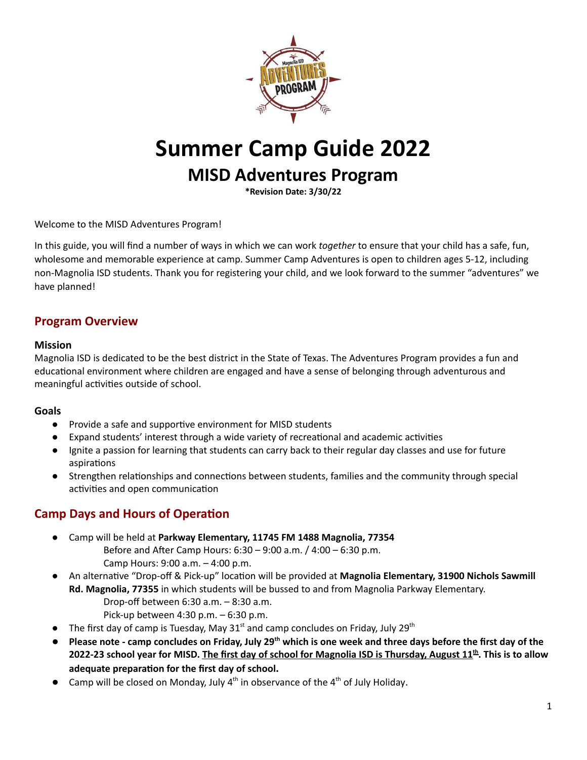

# **Summer Camp Guide 2022**

# **MISD Adventures Program**

**\*Revision Date: 3/30/22**

Welcome to the MISD Adventures Program!

In this guide, you will find a number of ways in which we can work *together* to ensure that your child has a safe, fun, wholesome and memorable experience at camp. Summer Camp Adventures is open to children ages 5-12, including non-Magnolia ISD students. Thank you for registering your child, and we look forward to the summer "adventures" we have planned!

#### **Program Overview**

#### **Mission**

Magnolia ISD is dedicated to be the best district in the State of Texas. The Adventures Program provides a fun and educational environment where children are engaged and have a sense of belonging through adventurous and meaningful activities outside of school.

#### **Goals**

- Provide a safe and supportive environment for MISD students
- $\bullet$  Expand students' interest through a wide variety of recreational and academic activities
- Ignite a passion for learning that students can carry back to their regular day classes and use for future aspirations
- Strengthen relationships and connections between students, families and the community through special activities and open communication

#### **Camp Days and Hours of Operation**

- Camp will be held at **Parkway Elementary, 11745 FM 1488 Magnolia, 77354**
	- Before and After Camp Hours:  $6:30 9:00$  a.m.  $/ 4:00 6:30$  p.m. Camp Hours: 9:00 a.m. – 4:00 p.m.
- An alternative "Drop-off & Pick-up" location will be provided at Magnolia Elementary, 31900 Nichols Sawmill **Rd. Magnolia, 77355** in which students will be bussed to and from Magnolia Parkway Elementary.
	- Drop-off between 6:30 a.m. 8:30 a.m.
	- Pick-up between 4:30 p.m. 6:30 p.m.
- The first day of camp is Tuesday, May  $31<sup>st</sup>$  and camp concludes on Friday, July  $29<sup>th</sup>$
- Please note camp concludes on Friday, July 29<sup>th</sup> which is one week and three days before the first day of the 2022-23 school year for MISD. The first day of school for Magnolia ISD is Thursday, August 11<sup>th</sup>. This is to allow **adequate** preparation for the first day of school.
- Camp will be closed on Monday, July  $4<sup>th</sup>$  in observance of the  $4<sup>th</sup>$  of July Holiday.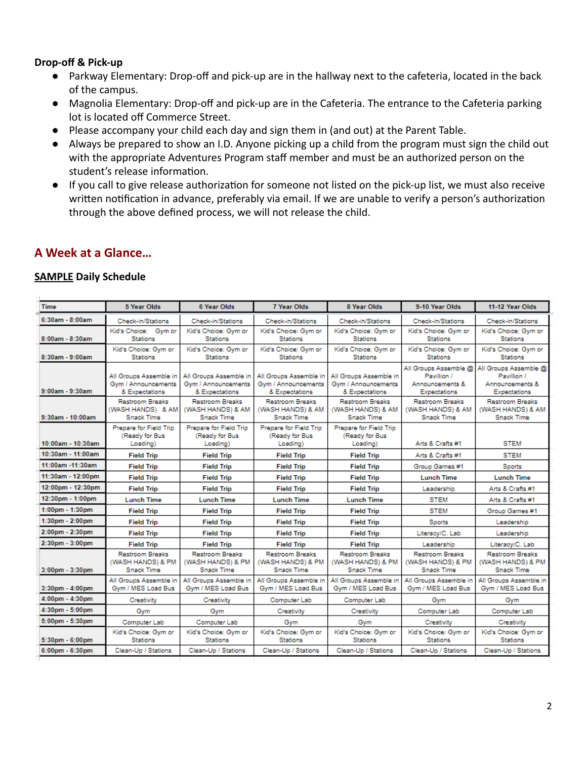#### **Drop-off & Pick-up**

- Parkway Elementary: Drop-off and pick-up are in the hallway next to the cafeteria, located in the back of the campus.
- Magnolia Elementary: Drop-off and pick-up are in the Cafeteria. The entrance to the Cafeteria parking lot is located off Commerce Street.
- Please accompany your child each day and sign them in (and out) at the Parent Table.
- Always be prepared to show an I.D. Anyone picking up a child from the program must sign the child out with the appropriate Adventures Program staff member and must be an authorized person on the student's release information.
- If you call to give release authorization for someone not listed on the pick-up list, we must also receive written notification in advance, preferably via email. If we are unable to verify a person's authorization through the above defined process, we will not release the child.

# **A Week at a Glance…**

#### **SAMPLE Daily Schedule**

| <b>Time</b>            | <b>5 Year Olds</b>                                               | <b>6 Year Olds</b>                                              | <b>7 Year Olds</b>                                               | <b>8 Year Olds</b>                                              | 9-10 Year Olds                                                                 | 11-12 Year Olds                                                                |
|------------------------|------------------------------------------------------------------|-----------------------------------------------------------------|------------------------------------------------------------------|-----------------------------------------------------------------|--------------------------------------------------------------------------------|--------------------------------------------------------------------------------|
| 6:30am - 8:00am        | Check-in/Stations                                                | <b>Check-in/Stations</b>                                        | <b>Check-in/Stations</b>                                         | Check-in/Stations                                               | Check-in/Stations                                                              | <b>Check-in/Stations</b>                                                       |
| 8:00am - 8:30am        | Kid's Choice: Gym or<br><b>Stations</b>                          | Kid's Choice: Gym or<br><b>Stations</b>                         | Kid's Choice: Gym or<br><b>Stations</b>                          | Kid's Choice: Gym or<br><b>Stations</b>                         | Kid's Choice: Gym or<br><b>Stations</b>                                        | Kid's Choice: Gym or<br><b>Stations</b>                                        |
| $8:30$ am - $9:00$ am  | Kid's Choice: Gym or<br><b>Stations</b>                          | Kid's Choice: Gym or<br><b>Stations</b>                         | Kid's Choice: Gym or<br><b>Stations</b>                          | Kid's Choice: Gym or<br><b>Stations</b>                         | Kid's Choice: Gym or<br>Stations                                               | Kid's Choice: Gym or<br><b>Stations</b>                                        |
| $9:00$ am - $9:30$ am  | All Groups Assemble in<br>Gym / Announcements<br>& Expectations  | All Groups Assemble in<br>Gym / Announcements<br>& Expectations | All Groups Assemble in<br>Gym / Announcements<br>& Expectations  | All Groups Assemble in<br>Gym / Announcements<br>& Expectations | All Groups Assemble @<br>Pavillion /<br>Announcements &<br><b>Expectations</b> | All Groups Assemble @<br>Pavillion /<br>Announcements &<br><b>Expectations</b> |
| $9:30$ am - $10:00$ am | <b>Restroom Breaks</b><br>(WASH HANDS) & AM<br><b>Snack Time</b> | <b>Restroom Breaks</b><br>(WASH HANDS) & AM<br>Snack Time       | <b>Restroom Breaks</b><br>(WASH HANDS) & AM<br><b>Snack Time</b> | <b>Restroom Breaks</b><br>(WASH HANDS) & AM<br>Snack Time       | <b>Restroom Breaks</b><br>(WASH HANDS) & AM<br>Snack Time                      | <b>Restroom Breaks</b><br>(WASH HANDS) & AM<br>Snack Time                      |
| 10:00am - 10:30am      | Prepare for Field Trip<br>(Ready for Bus<br>Loading)             | Prepare for Field Trip<br>(Ready for Bus<br>Loading)            | Prepare for Field Trip<br>(Ready for Bus<br>Loading)             | Prepare for Field Trip<br>(Ready for Bus<br>Loading)            | Arts & Crafts #1                                                               | <b>STEM</b>                                                                    |
| 10:30am - 11:00am      | <b>Field Trip</b>                                                | <b>Field Trip</b>                                               | <b>Field Trip</b>                                                | <b>Field Trip</b>                                               | Arts & Crafts #1                                                               | <b>STEM</b>                                                                    |
| 11:00am -11:30am       | <b>Field Trip</b>                                                | <b>Field Trip</b>                                               | <b>Field Trip</b>                                                | <b>Field Trip</b>                                               | Group Games #1                                                                 | Sports                                                                         |
| 11:30am - 12:00pm      | <b>Field Trip</b>                                                | <b>Field Trip</b>                                               | <b>Field Trip</b>                                                | <b>Field Trip</b>                                               | <b>Lunch Time</b>                                                              | <b>Lunch Time</b>                                                              |
| 12:00pm - 12:30pm      | <b>Field Trip</b>                                                | <b>Field Trip</b>                                               | <b>Field Trip</b>                                                | <b>Field Trip</b>                                               | Leadership                                                                     | Arts & Crafts #1                                                               |
| 12:30pm - 1:00pm       | <b>Lunch Time</b>                                                | <b>Lunch Time</b>                                               | <b>Lunch Time</b>                                                | <b>Lunch Time</b>                                               | <b>STEM</b>                                                                    | Arts & Crafts #1                                                               |
| $1:00$ pm - $1:30$ pm  | <b>Field Trip</b>                                                | <b>Field Trip</b>                                               | <b>Field Trip</b>                                                | <b>Field Trip</b>                                               | <b>STEM</b>                                                                    | Group Games #1                                                                 |
| 1:30pm - 2:00pm        | <b>Field Trip</b>                                                | <b>Field Trip</b>                                               | <b>Field Trip</b>                                                | <b>Field Trip</b>                                               | Sports                                                                         | Leadership                                                                     |
| $2:00$ pm - $2:30$ pm  | <b>Field Trip</b>                                                | <b>Field Trip</b>                                               | <b>Field Trip</b>                                                | <b>Field Trip</b>                                               | Literacy/C. Lab                                                                | Leadership                                                                     |
| 2:30pm - 3:00pm        | <b>Field Trip</b>                                                | <b>Field Trip</b>                                               | <b>Field Trip</b>                                                | <b>Field Trip</b>                                               | Leadership                                                                     | Literacy/C. Lab                                                                |
| 3:00pm - 3:30pm        | <b>Restroom Breaks</b><br>(WASH HANDS) & PM<br>Snack Time        | <b>Restroom Breaks</b><br>(WASH HANDS) & PM<br>Snack Time       | <b>Restroom Breaks</b><br>(WASH HANDS) & PM<br>Snack Time        | <b>Restroom Breaks</b><br>(WASH HANDS) & PM<br>Snack Time       | <b>Restroom Breaks</b><br>(WASH HANDS) & PM<br><b>Snack Time</b>               | Restroom Breaks<br>(WASH HANDS) & PM<br>Snack Time                             |
| 3:30pm - 4:00pm        | All Groups Assemble in<br>Gym / MES Load Bus                     | All Groups Assemble in<br>Gym / MES Load Bus                    | All Groups Assemble in<br>Gym / MES Load Bus                     | All Groups Assemble in<br>Gym / MES Load Bus                    | All Groups Assemble in<br>Gym / MES Load Bus                                   | All Groups Assemble in<br>Gym / MES Load Bus                                   |
| 4:00pm - 4:30pm        | Creativity                                                       | Creativity                                                      | Computer Lab                                                     | Computer Lab                                                    | Gym                                                                            | Gym                                                                            |
| 4:30pm - 5:00pm        | Gym                                                              | Gym                                                             | Creativity                                                       | Creativity                                                      | Computer Lab                                                                   | Computer Lab                                                                   |
| 5:00pm - 5:30pm        | Computer Lab                                                     | Computer Lab                                                    | Gym                                                              | Gym                                                             | Creativity                                                                     | Creativity                                                                     |
| $5:30$ pm - $6:00$ pm  | Kid's Choice: Gym or<br><b>Stations</b>                          | Kid's Choice: Gym or<br>Stations                                | Kid's Choice: Gym or<br>Stations                                 | Kid's Choice: Gym or<br>Stations                                | Kid's Choice: Gym or<br>Stations                                               | Kid's Choice: Gym or<br>Stations                                               |
| 6:00pm - 6:30pm        | Clean-Up / Stations                                              | Clean-Up / Stations                                             | Clean-Up / Stations                                              | Clean-Up / Stations                                             | Clean-Up / Stations                                                            | Clean-Up / Stations                                                            |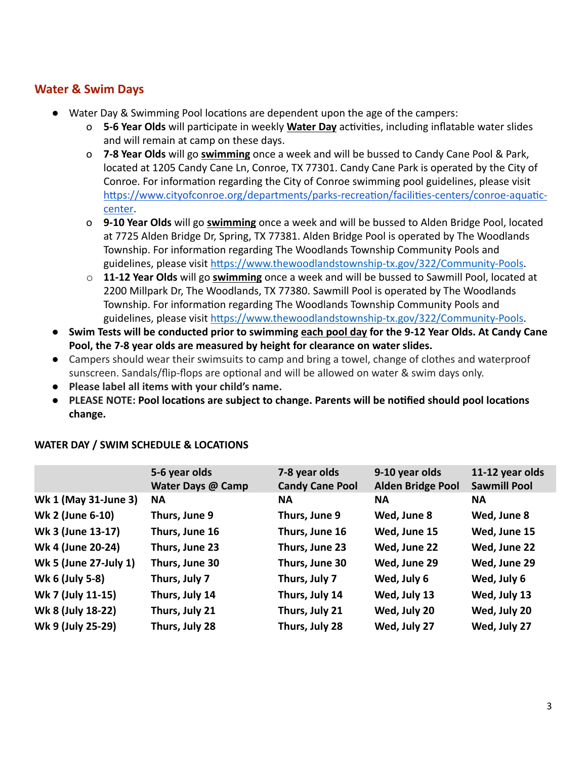# **Water & Swim Days**

- Water Day & Swimming Pool locations are dependent upon the age of the campers:
	- o 5-6 Year Olds will participate in weekly Water Day activities, including inflatable water slides and will remain at camp on these days.
	- o **7-8 Year Olds** will go **swimming** once a week and will be bussed to Candy Cane Pool & Park, located at 1205 Candy Cane Ln, Conroe, TX 77301. Candy Cane Park is operated by the City of Conroe. For information regarding the City of Conroe swimming pool guidelines, please visit https://www.cityofconroe.org/departments/parks-recreation/facilities-centers/conroe-aquatic[center.](https://www.cityofconroe.org/departments/parks-recreation/facilities-centers/conroe-aquatic-center)
	- o **9-10 Year Olds** will go **swimming** once a week and will be bussed to Alden Bridge Pool, located at 7725 Alden Bridge Dr, Spring, TX 77381. Alden Bridge Pool is operated by The Woodlands Township. For information regarding The Woodlands Township Community Pools and guidelines, please visit https://www.thewoodlandstownship-tx.gov/322/Community-Pools.
	- o **11-12 Year Olds** will go **swimming** once a week and will be bussed to Sawmill Pool, located at 2200 Millpark Dr, The Woodlands, TX 77380. Sawmill Pool is operated by The Woodlands Township. For information regarding The Woodlands Township Community Pools and guidelines, please visit https://www.thewoodlandstownship-tx.gov/322/Community-Pools.
- **Swim Tests will be conducted prior to swimming each pool day for the 9-12 Year Olds. At Candy Cane Pool, the 7-8 year olds are measured by height for clearance on water slides.**
- Campers should wear their swimsuits to camp and bring a towel, change of clothes and waterproof sunscreen. Sandals/flip-flops are optional and will be allowed on water & swim days only.
- **Please label all items with your child's name.**
- **•** PLEASE NOTE: Pool locations are subject to change. Parents will be notified should pool locations **change.**

|                       | 5-6 year olds<br>Water Days @ Camp | 7-8 year olds<br><b>Candy Cane Pool</b> | 9-10 year olds<br><b>Alden Bridge Pool</b> | 11-12 year olds<br><b>Sawmill Pool</b> |
|-----------------------|------------------------------------|-----------------------------------------|--------------------------------------------|----------------------------------------|
| Wk 1 (May 31-June 3)  | <b>NA</b>                          | <b>NA</b>                               | <b>NA</b>                                  | <b>NA</b>                              |
| Wk 2 (June 6-10)      | Thurs, June 9                      | Thurs, June 9                           | Wed, June 8                                | Wed, June 8                            |
| Wk 3 (June 13-17)     | Thurs, June 16                     | Thurs, June 16                          | Wed, June 15                               | Wed, June 15                           |
| Wk 4 (June 20-24)     | Thurs, June 23                     | Thurs, June 23                          | Wed, June 22                               | Wed, June 22                           |
| Wk 5 (June 27-July 1) | Thurs, June 30                     | Thurs, June 30                          | Wed, June 29                               | Wed, June 29                           |
| Wk 6 (July 5-8)       | Thurs, July 7                      | Thurs, July 7                           | Wed, July 6                                | Wed, July 6                            |
| Wk 7 (July 11-15)     | Thurs, July 14                     | Thurs, July 14                          | Wed, July 13                               | Wed, July 13                           |
| Wk 8 (July 18-22)     | Thurs, July 21                     | Thurs, July 21                          | Wed, July 20                               | Wed, July 20                           |
| Wk 9 (July 25-29)     | Thurs, July 28                     | Thurs, July 28                          | Wed, July 27                               | Wed, July 27                           |

#### **WATER DAY / SWIM SCHEDULE & LOCATIONS**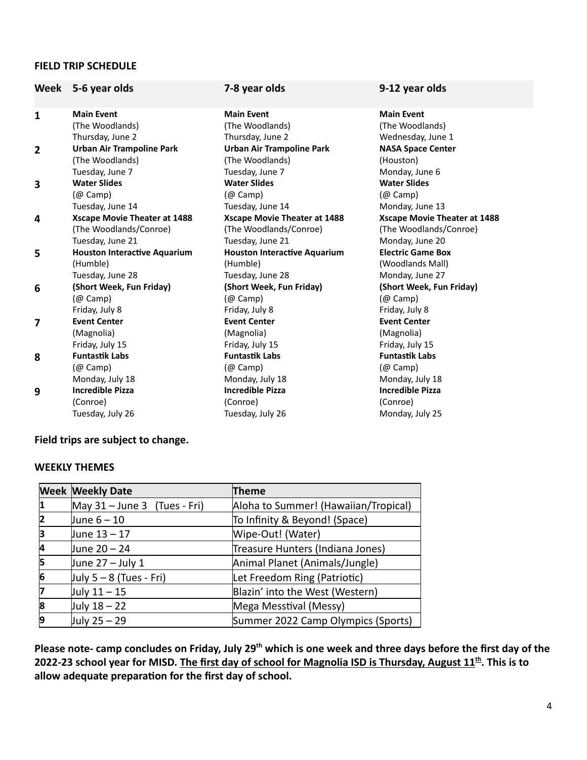#### **FIELD TRIP SCHEDULE**

| Week           | 5-6 year olds                       | 7-8 year olds                       | 9-12 year olds                      |
|----------------|-------------------------------------|-------------------------------------|-------------------------------------|
| $\mathbf{1}$   | <b>Main Event</b>                   | <b>Main Event</b>                   | <b>Main Event</b>                   |
|                | (The Woodlands)                     | (The Woodlands)                     | (The Woodlands)                     |
|                | Thursday, June 2                    | Thursday, June 2                    | Wednesday, June 1                   |
| $\overline{2}$ | <b>Urban Air Trampoline Park</b>    | <b>Urban Air Trampoline Park</b>    | <b>NASA Space Center</b>            |
|                | (The Woodlands)                     | (The Woodlands)                     | (Houston)                           |
|                | Tuesday, June 7                     | Tuesday, June 7                     | Monday, June 6                      |
| 3              | <b>Water Slides</b>                 | <b>Water Slides</b>                 | <b>Water Slides</b>                 |
|                | $(\varnothing$ Camp)                | (@ Camp)                            | (@ Camp)                            |
|                | Tuesday, June 14                    | Tuesday, June 14                    | Monday, June 13                     |
| 4              | <b>Xscape Movie Theater at 1488</b> | <b>Xscape Movie Theater at 1488</b> | <b>Xscape Movie Theater at 1488</b> |
|                | (The Woodlands/Conroe)              | (The Woodlands/Conroe)              | (The Woodlands/Conroe)              |
|                | Tuesday, June 21                    | Tuesday, June 21                    | Monday, June 20                     |
| 5              | <b>Houston Interactive Aquarium</b> | <b>Houston Interactive Aquarium</b> | <b>Electric Game Box</b>            |
|                | (Humble)                            | (Humble)                            | (Woodlands Mall)                    |
|                | Tuesday, June 28                    | Tuesday, June 28                    | Monday, June 27                     |
| 6              | (Short Week, Fun Friday)            | (Short Week, Fun Friday)            | (Short Week, Fun Friday)            |
|                | $(\varnothing$ Camp)                | $(\varpi$ Camp)                     | $(\varpi$ Camp)                     |
|                | Friday, July 8                      | Friday, July 8                      | Friday, July 8                      |
| 7              | <b>Event Center</b>                 | <b>Event Center</b>                 | <b>Event Center</b>                 |
|                | (Magnolia)                          | (Magnolia)                          | (Magnolia)                          |
|                | Friday, July 15                     | Friday, July 15                     | Friday, July 15                     |
| 8              | <b>Funtastik Labs</b>               | <b>Funtastik Labs</b>               | <b>Funtastik Labs</b>               |
|                | $(\varnothing$ Camp)                | (@ Camp)                            | (@ Camp)                            |
|                | Monday, July 18                     | Monday, July 18                     | Monday, July 18                     |
| 9              | <b>Incredible Pizza</b>             | <b>Incredible Pizza</b>             | <b>Incredible Pizza</b>             |
|                | (Conroe)                            | (Conroe)                            | (Conroe)                            |
|                | Tuesday, July 26                    | Tuesday, July 26                    | Monday, July 25                     |

### **Field trips are subject to change.**

#### **WEEKLY THEMES**

|    | <b>Week Weekly Date</b>        | Theme                                |
|----|--------------------------------|--------------------------------------|
| 11 | May $31 -$ June 3 (Tues - Fri) | Aloha to Summer! (Hawaiian/Tropical) |
| 12 | June 6 – 10                    | To Infinity & Beyond! (Space)        |
| 3  | June 13 – 17                   | Wipe-Out! (Water)                    |
| 4  | June 20 – 24                   | Treasure Hunters (Indiana Jones)     |
| 15 | June 27 – July 1               | Animal Planet (Animals/Jungle)       |
| 6  | $ $ July 5 – 8 (Tues - Fri)    | Let Freedom Ring (Patriotic)         |
|    | July 11 - 15                   | Blazin' into the West (Western)      |
| 18 | July 18 - 22                   | Mega Messtival (Messy)               |
| 9  | July 25 - 29                   | Summer 2022 Camp Olympics (Sports)   |

**Please note- camp concludes on Friday, July 29th which is one week and three days before the first day of the 2022-23 school year for MISD. The first day of school for Magnolia ISD is Thursday, August 11th . This is to** allow adequate preparation for the first day of school.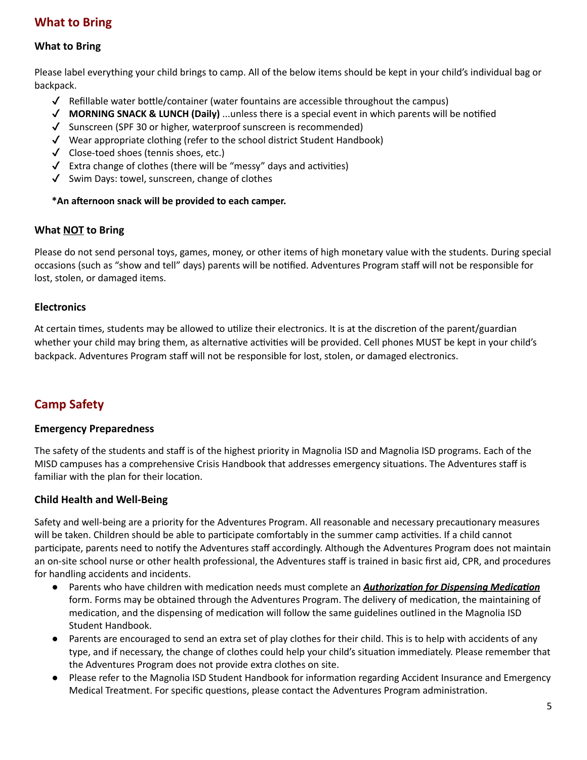# **What to Bring**

#### **What to Bring**

Please label everything your child brings to camp. All of the below items should be kept in your child's individual bag or backpack.

- $\checkmark$  Refillable water bottle/container (water fountains are accessible throughout the campus)
- ✔ **MORNING SNACK & LUNCH (Daily)** ...unless there is a special event in which parents will be nofied
- ✔ Sunscreen (SPF 30 or higher, waterproof sunscreen is recommended)
- $\checkmark$  Wear appropriate clothing (refer to the school district Student Handbook)
- ✔ Close-toed shoes (tennis shoes, etc.)
- $\checkmark$  Extra change of clothes (there will be "messy" days and activities)
- ✔ Swim Days: towel, sunscreen, change of clothes

#### $*$ An afternoon snack will be provided to each camper.

#### **What NOT to Bring**

Please do not send personal toys, games, money, or other items of high monetary value with the students. During special occasions (such as "show and tell" days) parents will be nofied. Adventures Program staff will not be responsible for lost, stolen, or damaged items.

#### **Electronics**

At certain times, students may be allowed to utilize their electronics. It is at the discretion of the parent/guardian whether your child may bring them, as alternative activities will be provided. Cell phones MUST be kept in your child's backpack. Adventures Program staff will not be responsible for lost, stolen, or damaged electronics.

# **Camp Safety**

#### **Emergency Preparedness**

The safety of the students and staff is of the highest priority in Magnolia ISD and Magnolia ISD programs. Each of the MISD campuses has a comprehensive Crisis Handbook that addresses emergency situations. The Adventures staff is familiar with the plan for their location.

#### **Child Health and Well-Being**

Safety and well-being are a priority for the Adventures Program. All reasonable and necessary precautionary measures will be taken. Children should be able to participate comfortably in the summer camp activities. If a child cannot participate, parents need to notify the Adventures staff accordingly. Although the Adventures Program does not maintain an on-site school nurse or other health professional, the Adventures staff is trained in basic first aid, CPR, and procedures for handling accidents and incidents.

- Parents who have children with medication needs must complete an *Authorization for Dispensing Medication* form. Forms may be obtained through the Adventures Program. The delivery of medication, the maintaining of medication, and the dispensing of medication will follow the same guidelines outlined in the Magnolia ISD Student Handbook.
- Parents are encouraged to send an extra set of play clothes for their child. This is to help with accidents of any type, and if necessary, the change of clothes could help your child's situation immediately. Please remember that the Adventures Program does not provide extra clothes on site.
- Please refer to the Magnolia ISD Student Handbook for information regarding Accident Insurance and Emergency Medical Treatment. For specific questions, please contact the Adventures Program administration.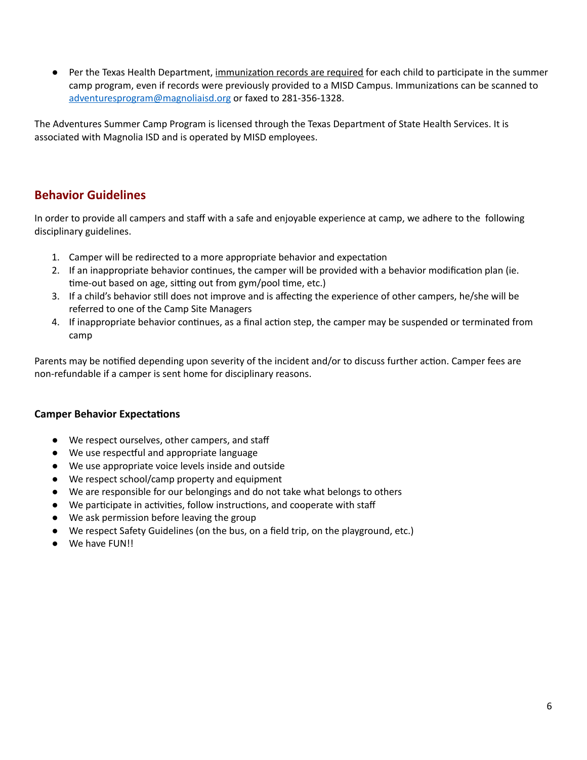• Per the Texas Health Department, immunization records are required for each child to participate in the summer camp program, even if records were previously provided to a MISD Campus. Immunizations can be scanned to [adventuresprogram@magnoliaisd.org](mailto:adventuresprogram@magnoliaisd.org) or faxed to 281-356-1328.

The Adventures Summer Camp Program is licensed through the Texas Department of State Health Services. It is associated with Magnolia ISD and is operated by MISD employees.

# **Behavior Guidelines**

In order to provide all campers and staff with a safe and enjoyable experience at camp, we adhere to the following disciplinary guidelines.

- 1. Camper will be redirected to a more appropriate behavior and expectation
- 2. If an inappropriate behavior continues, the camper will be provided with a behavior modification plan (ie. time-out based on age, sitting out from gym/pool time, etc.)
- 3. If a child's behavior still does not improve and is affecting the experience of other campers, he/she will be referred to one of the Camp Site Managers
- 4. If inappropriate behavior continues, as a final action step, the camper may be suspended or terminated from camp

Parents may be notified depending upon severity of the incident and/or to discuss further action. Camper fees are non-refundable if a camper is sent home for disciplinary reasons.

#### **Camper Behavior Expectations**

- We respect ourselves, other campers, and staff
- We use respectful and appropriate language
- We use appropriate voice levels inside and outside
- We respect school/camp property and equipment
- We are responsible for our belongings and do not take what belongs to others
- We participate in activities, follow instructions, and cooperate with staff
- We ask permission before leaving the group
- We respect Safety Guidelines (on the bus, on a field trip, on the playground, etc.)
- We have FUN!!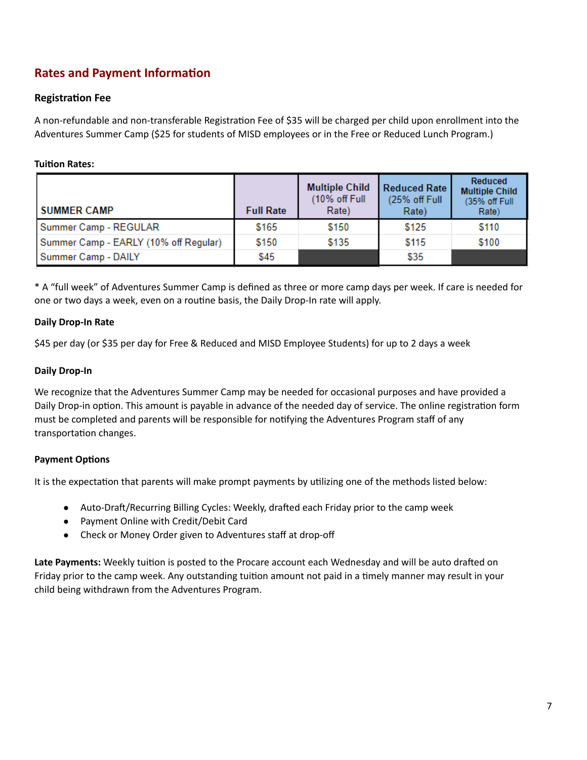# **Rates** and **Payment Information**

#### **Registration Fee**

A non-refundable and non-transferable Registration Fee of \$35 will be charged per child upon enrollment into the Adventures Summer Camp (\$25 for students of MISD employees or in the Free or Reduced Lunch Program.)

#### **Tuition Rates:**

| <b>SUMMER CAMP</b>                    | <b>Full Rate</b> | <b>Multiple Child</b><br>(10% off Full<br>Rate) | <b>Reduced Rate</b><br>(25% off Full<br>Rate) | Reduced<br><b>Multiple Child</b><br>(35% off Full<br>Rate) |
|---------------------------------------|------------------|-------------------------------------------------|-----------------------------------------------|------------------------------------------------------------|
| Summer Camp - REGULAR                 | \$165            | \$150                                           | \$125                                         | \$110                                                      |
| Summer Camp - EARLY (10% off Regular) | \$150            | \$135                                           | \$115                                         | \$100                                                      |
| Summer Camp - DAILY                   | \$45             |                                                 | \$35                                          |                                                            |

\* A "full week" of Adventures Summer Camp is defined as three or more camp days per week. If care is needed for one or two days a week, even on a routine basis, the Daily Drop-In rate will apply.

#### **Daily Drop-In Rate**

\$45 per day (or \$35 per day for Free & Reduced and MISD Employee Students) for up to 2 days a week

#### **Daily Drop-In**

We recognize that the Adventures Summer Camp may be needed for occasional purposes and have provided a Daily Drop-in option. This amount is payable in advance of the needed day of service. The online registration form must be completed and parents will be responsible for notifying the Adventures Program staff of any transportation changes.

#### **Payment Options**

It is the expectation that parents will make prompt payments by utilizing one of the methods listed below:

- Auto-Draft/Recurring Billing Cycles: Weekly, drafted each Friday prior to the camp week
- Payment Online with Credit/Debit Card
- Check or Money Order given to Adventures staff at drop-off

Late Payments: Weekly tuition is posted to the Procare account each Wednesday and will be auto drafted on Friday prior to the camp week. Any outstanding tuition amount not paid in a timely manner may result in your child being withdrawn from the Adventures Program.